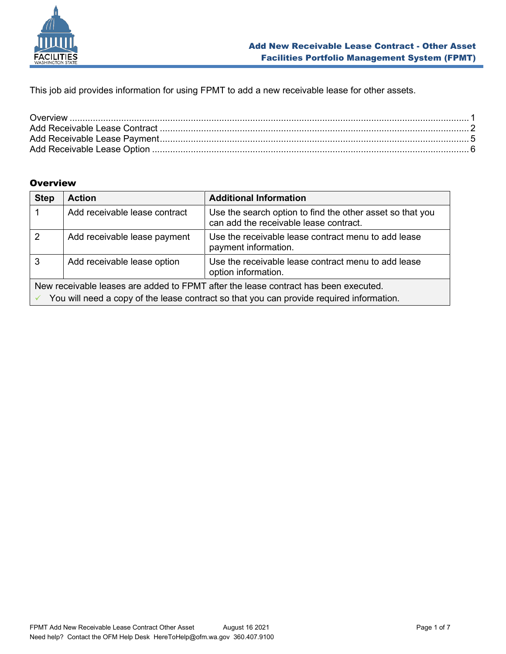

This job aid provides information for using FPMT to add a new receivable lease for other assets.

# <span id="page-0-0"></span>**Overview**

| <b>Step</b>                                                                              | <b>Action</b>                 | <b>Additional Information</b>                                                                       |
|------------------------------------------------------------------------------------------|-------------------------------|-----------------------------------------------------------------------------------------------------|
|                                                                                          | Add receivable lease contract | Use the search option to find the other asset so that you<br>can add the receivable lease contract. |
| 2                                                                                        | Add receivable lease payment  | Use the receivable lease contract menu to add lease<br>payment information.                         |
| 3                                                                                        | Add receivable lease option   | Use the receivable lease contract menu to add lease<br>option information.                          |
| New receivable leases are added to FPMT after the lease contract has been executed.      |                               |                                                                                                     |
| You will need a copy of the lease contract so that you can provide required information. |                               |                                                                                                     |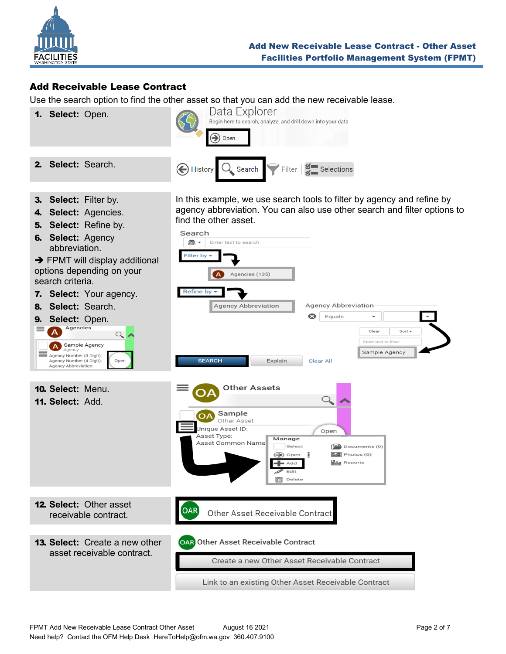

### <span id="page-1-0"></span>Add Receivable Lease Contract

Use the search option to find the other asset so that you can add the new receivable lease.

Data Explorer 1. **Select:** Open. Begin here to search, analyze, and drill down into your data  $\left( \blacktriangleright \right)$  Open 2. **Select:** Search. A History  $\frac{3}{2}$  Selections  $Q_{\bullet}$  Search Filter

Search

- 3. **Select:** Filter by.
- 4. **Select:** Agencies.
- 5. **Select:** Refine by.
- 6. **Select:** Agency abbreviation.

 $\rightarrow$  FPMT will display additional options depending on your search criteria.

- 7. **Select:** Your agency.
- 8. **Select:** Search.
- 

 $\Delta$  $\mathcal{Q}_{\!\scriptscriptstyle\bullet}$ A Sample Agency

In this example, we use search tools to filter by agency and refine by agency abbreviation. You can also use other search and filter options to find the other asset.

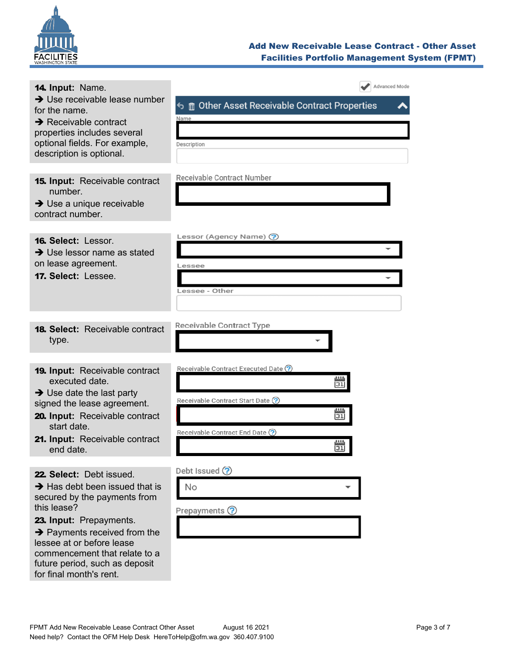

| 14. Input: Name.<br>$\rightarrow$ Use receivable lease number<br>for the name.<br>$\rightarrow$ Receivable contract<br>properties includes several<br>optional fields. For example,<br>description is optional.                                                                                                         | Advanced Mode<br><b>う</b> 面 Other Asset Receivable Contract Properties<br>Name<br>Description                                                          |
|-------------------------------------------------------------------------------------------------------------------------------------------------------------------------------------------------------------------------------------------------------------------------------------------------------------------------|--------------------------------------------------------------------------------------------------------------------------------------------------------|
| <b>15. Input:</b> Receivable contract<br>number.<br>$\rightarrow$ Use a unique receivable<br>contract number.                                                                                                                                                                                                           | Receivable Contract Number                                                                                                                             |
| 16. Select: Lessor.<br>$\rightarrow$ Use lessor name as stated<br>on lease agreement.<br>17. Select: Lessee.                                                                                                                                                                                                            | Lessor (Agency Name) ?<br>Lessee<br>Lessee - Other                                                                                                     |
| <b>18. Select:</b> Receivable contract<br>type.                                                                                                                                                                                                                                                                         | Receivable Contract Type                                                                                                                               |
| <b>19. Input:</b> Receivable contract<br>executed date.<br>$\rightarrow$ Use date the last party<br>signed the lease agreement.<br>20. Input: Receivable contract<br>start date.<br>21. Input: Receivable contract<br>end date.                                                                                         | Receivable Contract Executed Date ?<br>$\overline{31}$<br>Receivable Contract Start Date (?)<br>31<br>Receivable Contract End Date (?)<br>0.005<br> 31 |
| 22. Select: Debt issued.<br>$\rightarrow$ Has debt been issued that is<br>secured by the payments from<br>this lease?<br>23. Input: Prepayments.<br>$\rightarrow$ Payments received from the<br>lessee at or before lease<br>commencement that relate to a<br>future period, such as deposit<br>for final month's rent. | Debt Issued (?)<br>No<br>Prepayments ?                                                                                                                 |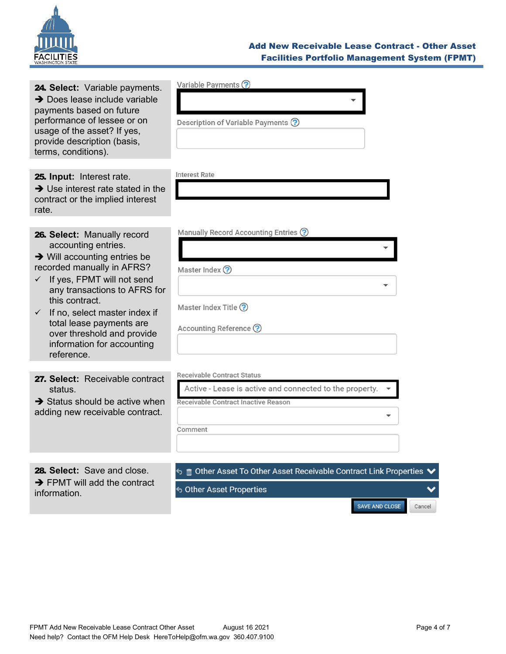

| 24. Select: Variable payments.<br>$\rightarrow$ Does lease include variable<br>payments based on future<br>performance of lessee or on<br>usage of the asset? If yes,<br>provide description (basis,<br>terms, conditions).                                                                                                                                                      | Variable Payments ?<br>Description of Variable Payments (?)                                                                                    |
|----------------------------------------------------------------------------------------------------------------------------------------------------------------------------------------------------------------------------------------------------------------------------------------------------------------------------------------------------------------------------------|------------------------------------------------------------------------------------------------------------------------------------------------|
| 25. Input: Interest rate.<br>$\rightarrow$ Use interest rate stated in the<br>contract or the implied interest<br>rate.                                                                                                                                                                                                                                                          | <b>Interest Rate</b>                                                                                                                           |
| 26. Select: Manually record<br>accounting entries.<br>$\rightarrow$ Will accounting entries be<br>recorded manually in AFRS?<br>If yes, FPMT will not send<br>$\checkmark$<br>any transactions to AFRS for<br>this contract.<br>$\checkmark$ If no, select master index if<br>total lease payments are<br>over threshold and provide<br>information for accounting<br>reference. | Manually Record Accounting Entries ?<br>Master Index ?<br>Master Index Title ?<br>Accounting Reference ?                                       |
| 27. Select: Receivable contract<br>status.<br>$\rightarrow$ Status should be active when<br>adding new receivable contract.                                                                                                                                                                                                                                                      | <b>Receivable Contract Status</b><br>Active - Lease is active and connected to the property.<br>Receivable Contract Inactive Reason<br>Comment |
| 28. Select: Save and close.<br>$\rightarrow$ FPMT will add the contract<br>information.                                                                                                                                                                                                                                                                                          | ← 面 Other Asset To Other Asset Receivable Contract Link Properties ❤<br><b>S Other Asset Properties</b>                                        |

SAVE AND CLOSE

Cancel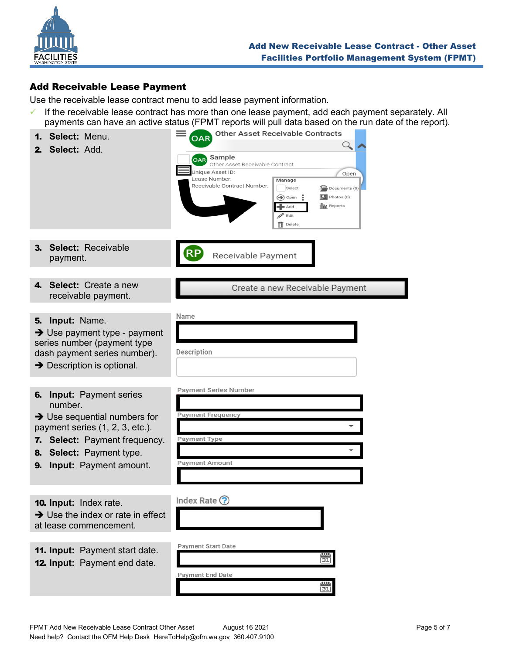

## <span id="page-4-0"></span>Add Receivable Lease Payment

Use the receivable lease contract menu to add lease payment information.

 $\checkmark$  If the receivable lease contract has more than one lease payment, add each payment separately. All payments can have an active status (FPMT reports will pull data based on the run date of the report).

| Select: Menu.<br>1.<br>Select: Add.<br>2.                                                                                                                                                                                 | <b>Other Asset Receivable Contracts</b><br>OAR<br>Sample<br>OAR <sup>)</sup><br>Other Asset Receivable Contract<br><b>Jnique Asset ID:</b><br>Open<br>Lease Number:<br>Manage<br>Receivable Contract Number:<br>Select<br>$\left[\frac{1-\epsilon}{2}\right]$ Documents (0)<br>$\boxed{2}$ Photos (0)<br>$\bigcirc$ Open<br><b>III</b> Reports<br>$\blacktriangleright$ Add<br>$\gg$ Edit<br><b>TTT</b> Delete |
|---------------------------------------------------------------------------------------------------------------------------------------------------------------------------------------------------------------------------|----------------------------------------------------------------------------------------------------------------------------------------------------------------------------------------------------------------------------------------------------------------------------------------------------------------------------------------------------------------------------------------------------------------|
| Select: Receivable<br>3.<br>payment.                                                                                                                                                                                      | RP<br>Receivable Payment                                                                                                                                                                                                                                                                                                                                                                                       |
| Select: Create a new<br>4.<br>receivable payment.                                                                                                                                                                         | Create a new Receivable Payment                                                                                                                                                                                                                                                                                                                                                                                |
| Input: Name.<br>5.<br>$\rightarrow$ Use payment type - payment<br>series number (payment type<br>dash payment series number).<br>$\rightarrow$ Description is optional.                                                   | Name<br>Description                                                                                                                                                                                                                                                                                                                                                                                            |
| <b>Input: Payment series</b><br>6.<br>number.<br>$\rightarrow$ Use sequential numbers for<br>payment series (1, 2, 3, etc.).<br>7. Select: Payment frequency.<br>8. Select: Payment type.<br>Input: Payment amount.<br>9. | <b>Payment Series Number</b><br><b>Payment Frequency</b><br>Payment Type<br><b>Payment Amount</b>                                                                                                                                                                                                                                                                                                              |
| 10. Input: Index rate.<br>$\rightarrow$ Use the index or rate in effect<br>at lease commencement.                                                                                                                         | Index Rate $\odot$                                                                                                                                                                                                                                                                                                                                                                                             |
| 11. Input: Payment start date.<br><b>12. Input: Payment end date.</b>                                                                                                                                                     | <b>Payment Start Date</b><br>$\frac{1}{121}$<br><b>Payment End Date</b><br>$\frac{1}{31}$                                                                                                                                                                                                                                                                                                                      |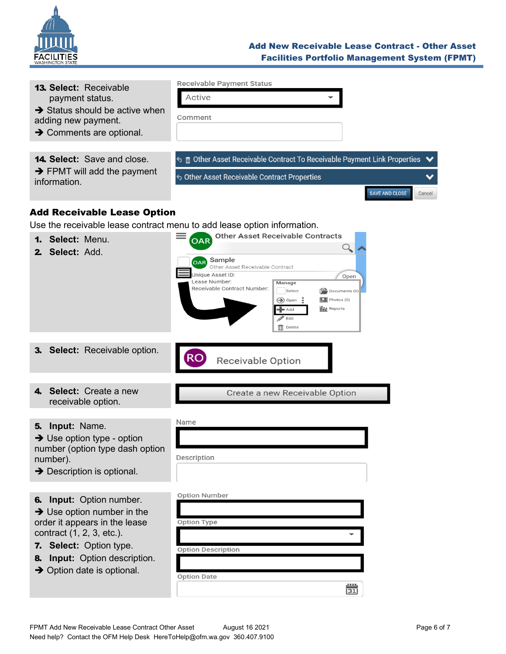

<span id="page-5-0"></span>

| <b>13. Select: Receivable</b><br>payment status.<br>$\rightarrow$ Status should be active when<br>adding new payment.<br>$\rightarrow$ Comments are optional.                                                                             | Receivable Payment Status<br>Active<br>Comment                                                                                                                                                                                                                                                                                                                                                                                |
|-------------------------------------------------------------------------------------------------------------------------------------------------------------------------------------------------------------------------------------------|-------------------------------------------------------------------------------------------------------------------------------------------------------------------------------------------------------------------------------------------------------------------------------------------------------------------------------------------------------------------------------------------------------------------------------|
| <b>14. Select: Save and close.</b><br>$\rightarrow$ FPMT will add the payment<br>information.                                                                                                                                             | <b> 6</b> m Other Asset Receivable Contract To Receivable Payment Link Properties $\blacktriangleright$<br><b>S</b> Other Asset Receivable Contract Properties<br>$\checkmark$<br><b>SAVE AND CLOSE</b><br>Cancel                                                                                                                                                                                                             |
| <b>Add Receivable Lease Option</b>                                                                                                                                                                                                        | Use the receivable lease contract menu to add lease option information.                                                                                                                                                                                                                                                                                                                                                       |
| 1. Select: Menu.<br>2. Select: Add.                                                                                                                                                                                                       | <b>Other Asset Receivable Contracts</b><br><b>OAR</b><br>Sample<br>(OAR)<br>Other Asset Receivable Contract<br>Jnique Asset ID:<br>Open<br>Lease Number:<br>Manage<br>Receivable Contract Number:<br>Select<br>$\sqrt{2}$ Documents (0)<br>$\boxed{2}$ Photos (0)<br>$\left(\rightarrow\right)$ Open $\frac{3}{2}$<br><b>III</b> Reports<br>$\blacktriangleright$ Add<br>$\mathscr{P}$ Edit<br>$\overline{\mathbb{m}}$ Delete |
| 3. Select: Receivable option.                                                                                                                                                                                                             | Receivable Option                                                                                                                                                                                                                                                                                                                                                                                                             |
| 4. Select: Create a new<br>receivable option.                                                                                                                                                                                             | Create a new Receivable Option                                                                                                                                                                                                                                                                                                                                                                                                |
| Input: Name.<br>5.<br>$\rightarrow$ Use option type - option<br>number (option type dash option<br>number).<br>$\rightarrow$ Description is optional.                                                                                     | Name<br>Description                                                                                                                                                                                                                                                                                                                                                                                                           |
| 6. Input: Option number.<br>$\rightarrow$ Use option number in the<br>order it appears in the lease<br>contract (1, 2, 3, etc.).<br>7. Select: Option type.<br>Input: Option description.<br>8.<br>$\rightarrow$ Option date is optional. | <b>Option Number</b><br>Option Type<br><b>Option Description</b><br><b>Option Date</b>                                                                                                                                                                                                                                                                                                                                        |

 $\frac{0.00}{31}$